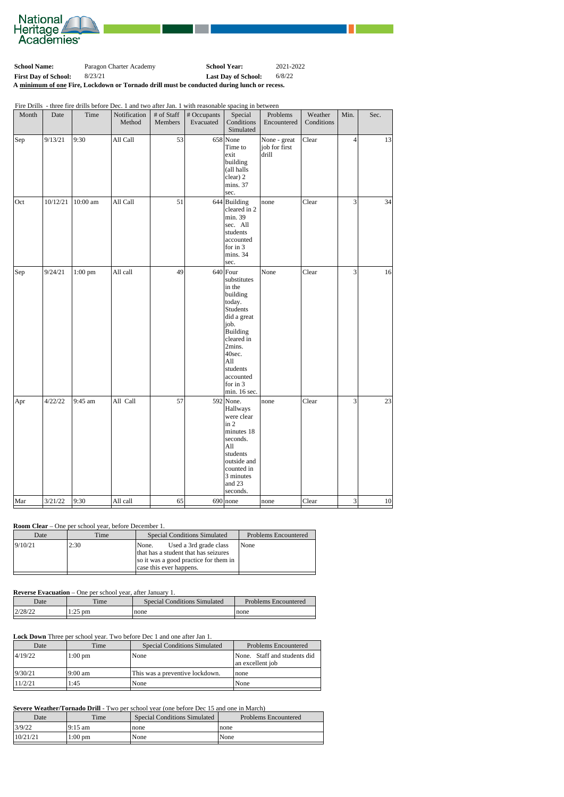

**School Name:** Paragon Charter Academy **School Year:** 2021-2022 **First Day of School:** 8/23/21 **Last Day of School:** 6/8/22 **A minimum of one Fire, Lockdown or Tornado drill must be conducted during lunch or recess.**

Fire Drills - three fire drills before Dec. 1 and two after Jan. 1 with reasonable spacing in between

| Month | Date     | Time      | Notification<br>Method | # of Staff<br>Members | # Occupants<br>Evacuated | Special<br>Conditions<br>Simulated                                                                                                                                                                       | Problems<br>Encountered                | Weather<br>Conditions | Min.           | Sec. |
|-------|----------|-----------|------------------------|-----------------------|--------------------------|----------------------------------------------------------------------------------------------------------------------------------------------------------------------------------------------------------|----------------------------------------|-----------------------|----------------|------|
| Sep   | 9/13/21  | 9:30      | All Call               | 53                    |                          | $658$ None<br>Time to<br>exit<br>building<br>(all halls<br>clear) 2<br>mins. 37<br>sec.                                                                                                                  | None - great<br>job for first<br>drill | Clear                 | $\overline{4}$ | 13   |
| Oct   | 10/12/21 | 10:00 am  | All Call               | 51                    |                          | $644$ Building<br>cleared in 2<br>min. 39<br>sec. All<br>students<br>accounted<br>for in 3<br>mins. 34<br>sec.                                                                                           | none                                   | Clear                 | $\overline{3}$ | 34   |
| Sep   | 9/24/21  | $1:00$ pm | All call               | 49                    |                          | $640$ Four<br>substitutes<br>in the<br>building<br>today.<br>Students<br>did a great<br>job.<br>Building<br>cleared in<br>2mins.<br>40sec.<br>All<br>students<br>accounted<br>for in $3$<br>min. 16 sec. | None                                   | Clear                 | $\overline{3}$ | 16   |
| Apr   | 4/22/22  | 9:45 am   | All Call               | 57                    |                          | $592$ None.<br>Hallways<br>were clear<br>$\operatorname{in} 2$<br>minutes 18<br>seconds.<br>All<br>students<br>outside and<br>counted in<br>3 minutes<br>and 23<br>seconds.                              | none                                   | Clear                 | $\overline{3}$ | 23   |
| Mar   | 3/21/22  | 9:30      | All call               | 65                    |                          | $690$ none                                                                                                                                                                                               | none                                   | Clear                 | $3\vert$       | 10   |

#### **Room Clear** – One per school year, before December 1.

| 9/10/21<br>2:30<br>Used a 3rd grade class<br>None<br>None.<br>that has a student that has seizures<br>so it was a good practice for them in | Date | Time | <b>Special Conditions Simulated</b> | <b>Problems Encountered</b> |
|---------------------------------------------------------------------------------------------------------------------------------------------|------|------|-------------------------------------|-----------------------------|
|                                                                                                                                             |      |      | case this ever happens.             |                             |

## **Reverse Evacuation** – One per school year, after January 1.

| $\Gamma$ | $\lim_{\alpha}$ | Considered Conditions Completed | Drohlama Engountared |
|----------|-----------------|---------------------------------|----------------------|
|          |                 |                                 |                      |

| Date    | $\mathbf{m}$<br>ime. | $\sim$<br>Simulated<br>onditions_<br>$\beta$ becal $\prime$ | n.<br>: Encountered<br>Problems |
|---------|----------------------|-------------------------------------------------------------|---------------------------------|
| 2/28/22 | pm<br>.              | none                                                        | none                            |
|         |                      |                                                             |                                 |

## **Lock Down** Three per school year. Two before Dec 1 and one after Jan 1.

| Date    | Time      | <b>Special Conditions Simulated</b> | Problems Encountered                             |
|---------|-----------|-------------------------------------|--------------------------------------------------|
| 4/19/22 | $1:00$ pm | None                                | None. Staff and students did<br>an excellent job |
| 9/30/21 | 19:00 am  | This was a preventive lockdown.     | none                                             |
| 11/2/21 | 1:45      | None                                | None                                             |

#### **Severe Weather/Tornado Drill** - Two per school year (one before Dec 15 and one in March)

| Date     | Time              | Special Conditions Simulated | <b>Problems Encountered</b> |
|----------|-------------------|------------------------------|-----------------------------|
| 3/9/22   | 19:15 am          | none                         | none                        |
| 10/21/21 | $1:00 \text{ pm}$ | None                         | None                        |